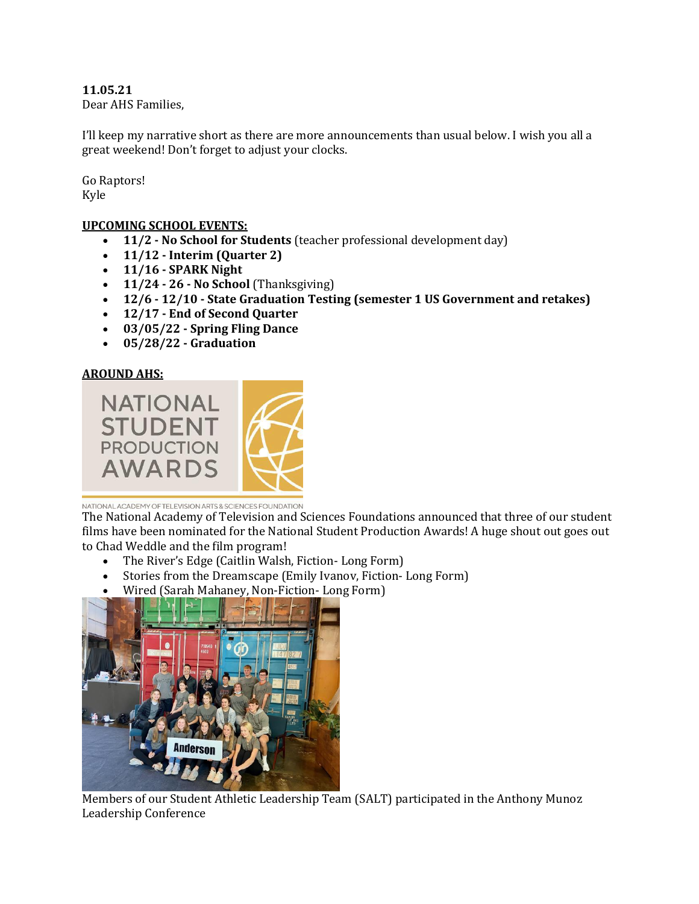**11.05.21** Dear AHS Families,

I'll keep my narrative short as there are more announcements than usual below. I wish you all a great weekend! Don't forget to adjust your clocks.

Go Raptors! Kyle

## **UPCOMING SCHOOL EVENTS:**

- **11/2 - No School for Students** (teacher professional development day)
- **11/12 - Interim (Quarter 2)**
- **11/16 - SPARK Night**
- **11/24 - 26 - No School** (Thanksgiving)
- **12/6 - 12/10 - State Graduation Testing (semester 1 US Government and retakes)**
- **12/17 - End of Second Quarter**
- **03/05/22 - Spring Fling Dance**
- **05/28/22 - Graduation**

## **AROUND AHS:**



NATIONAL ACADEMY OF TELEVISION ARTS & SCIENCES FOUNDATION

The National Academy of Television and Sciences Foundations announced that three of our student films have been nominated for the National Student Production Awards! A huge shout out goes out to Chad Weddle and the film program!

- The River's Edge (Caitlin Walsh, Fiction- Long Form)
- Stories from the Dreamscape (Emily Ivanov, Fiction- Long Form)
- Wired (Sarah Mahaney, Non-Fiction- Long Form)



Members of our Student Athletic Leadership Team (SALT) participated in the Anthony Munoz Leadership Conference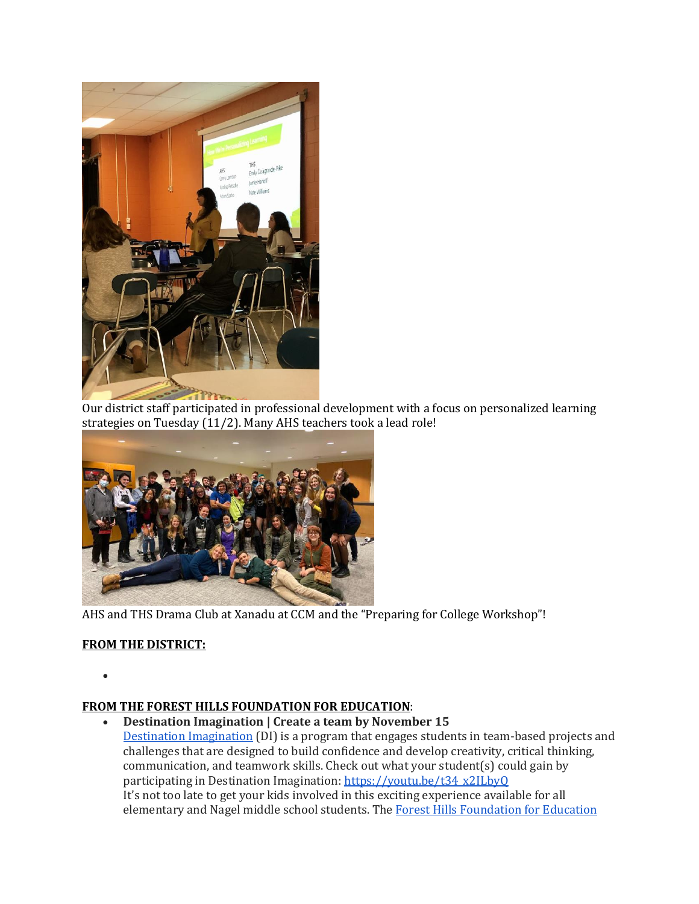

Our district staff participated in professional development with a focus on personalized learning strategies on Tuesday (11/2). Many AHS teachers took a lead role!



AHS and THS Drama Club at Xanadu at CCM and the "Preparing for College Workshop"!

# **FROM THE DISTRICT:**

 $\bullet$ 

## **FROM THE FOREST HILLS FOUNDATION FOR EDUCATION**:

 **Destination Imagination | Create a team by November 15** [Destination Imagination](https://www.destinationimagination.org/) (DI) is a program that engages students in team-based projects and challenges that are designed to build confidence and develop creativity, critical thinking, communication, and teamwork skills. Check out what your student(s) could gain by participating in Destination Imagination[: https://youtu.be/t34\\_x2ILbyQ](https://youtu.be/t34_x2ILbyQ) It's not too late to get your kids involved in this exciting experience available for all elementary and Nagel middle school students. Th[e Forest Hills Foundation for Education](https://fhfe.org/)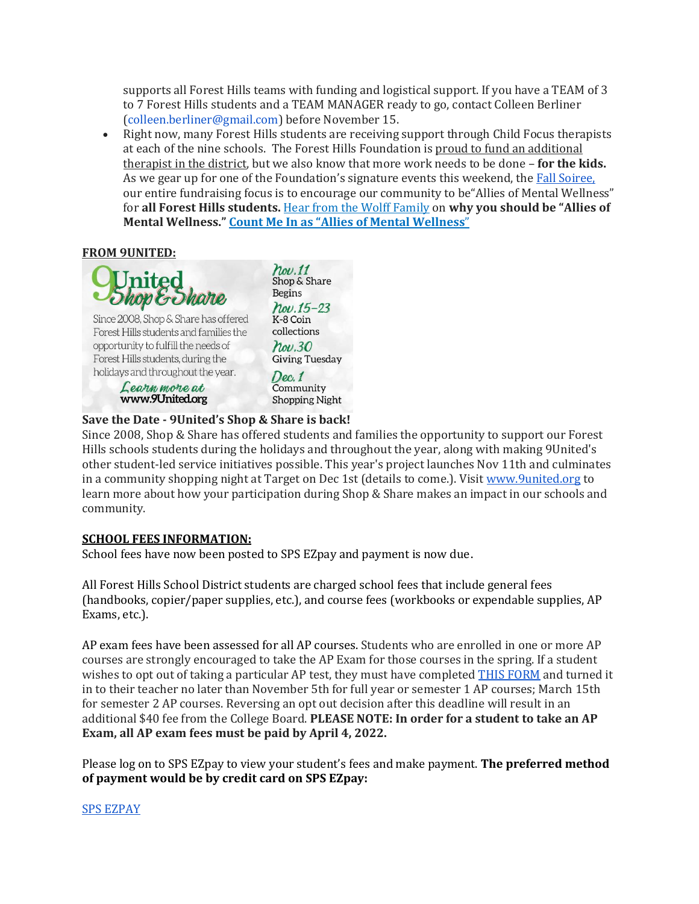supports all Forest Hills teams with funding and logistical support. If you have a TEAM of 3 to 7 Forest Hills students and a TEAM MANAGER ready to go, contact Colleen Berliner (colleen.berliner@gmail.com) before November 15.

• Right now, many Forest Hills students are receiving support through Child Focus therapists at each of the nine schools. The Forest Hills Foundation is proud to fund an additional therapist in the district, but we also know that more work needs to be done – **for the kids.** As we gear up for one of the Foundation's signature events this weekend, the [Fall Soiree,](https://secure.qgiv.com/event/fhffesoiree/)  our entire fundraising focus is to encourage our community to be"Allies of Mental Wellness" for **all Forest Hills students.** [Hear from the Wolff Family](https://www.youtube.com/watch?v=FtcJr0sF98Y) on **why you should be "Allies of Mental Wellness.[" Count Me In as "Allies of Mental Well](https://secure.qgiv.com/event/fhffesoiree/donate/)ness**"

### **FROM 9UNITED:**



Learn more at www.9United.org

Shop & Share **Begins**  $Now.15-23$ K-8 Coin collections  $how.30$ **Giving Tuesday**  $Dec.1$ Community **Shopping Night** 

## **Save the Date - 9United's Shop & Share is back!**

Since 2008, Shop & Share has offered students and families the opportunity to support our Forest Hills schools students during the holidays and throughout the year, along with making 9United's other student-led service initiatives possible. This year's project launches Nov 11th and culminates in a community shopping night at Target on Dec 1st (details to come.). Visit [www.9united.org](http://www.9united.org/) to learn more about how your participation during Shop & Share makes an impact in our schools and community.

#### **SCHOOL FEES INFORMATION:**

School fees have now been posted to SPS EZpay and payment is now due.

All Forest Hills School District students are charged school fees that include general fees (handbooks, copier/paper supplies, etc.), and course fees (workbooks or expendable supplies, AP Exams, etc.).

AP exam fees have been assessed for all AP courses. Students who are enrolled in one or more AP courses are strongly encouraged to take the AP Exam for those courses in the spring. If a student wishes to opt out of taking a particular AP test, they must have completed [THIS FORM](https://drive.google.com/file/d/1QEOBqQ8nFCLhynrTisBbgSCuykUib2t7/view?usp=sharing) and turned it in to their teacher no later than November 5th for full year or semester 1 AP courses; March 15th for semester 2 AP courses. Reversing an opt out decision after this deadline will result in an additional \$40 fee from the College Board. **PLEASE NOTE: In order for a student to take an AP Exam, all AP exam fees must be paid by April 4, 2022.**

Please log on to SPS EZpay to view your student's fees and make payment. **The preferred method of payment would be by credit card on SPS EZpay:**

#### [SPS EZPAY](https://www.spsezpay.com/ForestHills/ezpay/Login.aspx)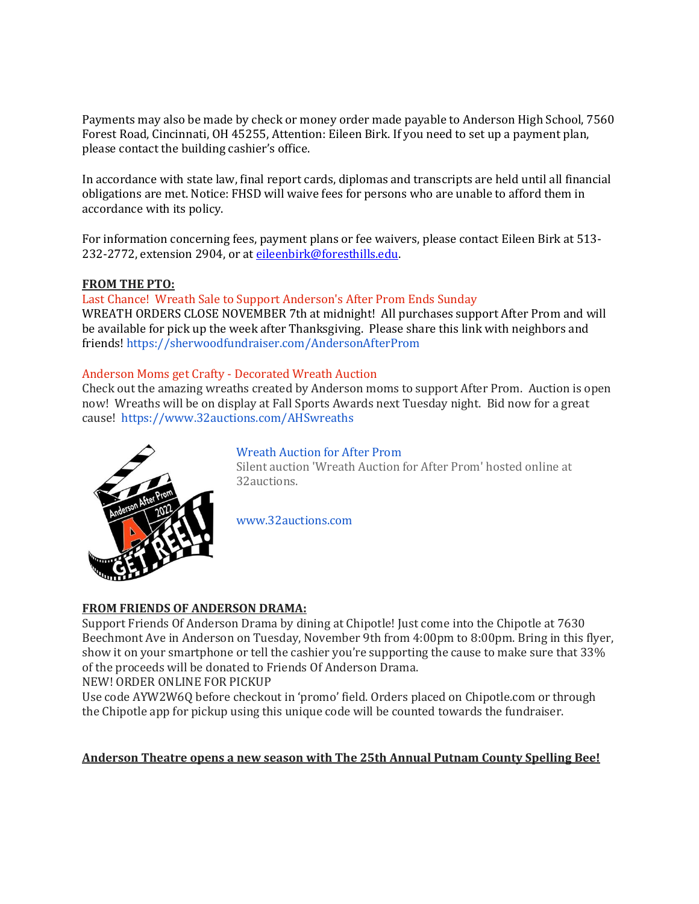Payments may also be made by check or money order made payable to Anderson High School, 7560 Forest Road, Cincinnati, OH 45255, Attention: Eileen Birk. If you need to set up a payment plan, please contact the building cashier's office.

In accordance with state law, final report cards, diplomas and transcripts are held until all financial obligations are met. Notice: FHSD will waive fees for persons who are unable to afford them in accordance with its policy.

For information concerning fees, payment plans or fee waivers, please contact Eileen Birk at 513- 232-2772, extension 2904, or a[t eileenbirk@foresthills.edu.](mailto:eileenbirk@foresthills.edu)

### **FROM THE PTO:**

Last Chance! Wreath Sale to Support Anderson's After Prom Ends Sunday WREATH ORDERS CLOSE NOVEMBER 7th at midnight! All purchases support After Prom and will be available for pick up the week after Thanksgiving. Please share this link with neighbors and friends!<https://sherwoodfundraiser.com/AndersonAfterProm>

## Anderson Moms get Crafty - Decorated Wreath Auction

Check out the amazing wreaths created by Anderson moms to support After Prom. Auction is open now! Wreaths will be on display at Fall Sports Awards next Tuesday night. Bid now for a great cause! <https://www.32auctions.com/AHSwreaths>



## [Wreath Auction for After Prom](https://www.32auctions.com/AHSwreaths)

Silent auction 'Wreath Auction for After Prom' hosted online at 32auctions.

[www.32auctions.com](http://www.32auctions.com/)

## **FROM FRIENDS OF ANDERSON DRAMA:**

Support Friends Of Anderson Drama by dining at Chipotle! Just come into the Chipotle at 7630 Beechmont Ave in Anderson on Tuesday, November 9th from 4:00pm to 8:00pm. Bring in this flyer, show it on your smartphone or tell the cashier you're supporting the cause to make sure that 33% of the proceeds will be donated to Friends Of Anderson Drama.

#### NEW! ORDER ONLINE FOR PICKUP

Use code AYW2W6Q before checkout in 'promo' field. Orders placed on Chipotle.com or through the Chipotle app for pickup using this unique code will be counted towards the fundraiser.

#### **Anderson Theatre opens a new season with The 25th Annual Putnam County Spelling Bee!**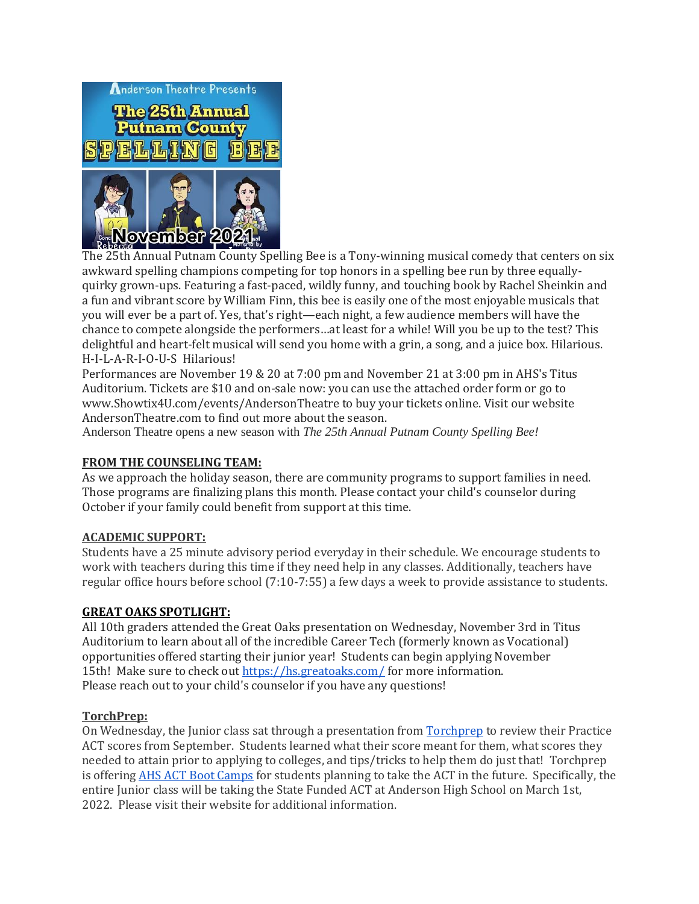

The 25th Annual Putnam County Spelling Bee is a Tony-winning musical comedy that centers on six awkward spelling champions competing for top honors in a spelling bee run by three equallyquirky grown-ups. Featuring a fast-paced, wildly funny, and touching book by Rachel Sheinkin and a fun and vibrant score by William Finn, this bee is easily one of the most enjoyable musicals that you will ever be a part of. Yes, that's right—each night, a few audience members will have the chance to compete alongside the performers…at least for a while! Will you be up to the test? This delightful and heart-felt musical will send you home with a grin, a song, and a juice box. Hilarious. H-I-L-A-R-I-O-U-S Hilarious!

Performances are November 19 & 20 at 7:00 pm and November 21 at 3:00 pm in AHS's Titus Auditorium. Tickets are \$10 and on-sale now: you can use the attached order form or go to www.Showtix4U.com/events/AndersonTheatre to buy your tickets online. Visit our website AndersonTheatre.com to find out more about the season.

Anderson Theatre opens a new season with *The 25th Annual Putnam County Spelling Bee!*

#### **FROM THE COUNSELING TEAM:**

As we approach the holiday season, there are community programs to support families in need. Those programs are finalizing plans this month. Please contact your child's counselor during October if your family could benefit from support at this time.

### **ACADEMIC SUPPORT:**

Students have a 25 minute advisory period everyday in their schedule. We encourage students to work with teachers during this time if they need help in any classes. Additionally, teachers have regular office hours before school (7:10-7:55) a few days a week to provide assistance to students.

#### **GREAT OAKS SPOTLIGHT:**

All 10th graders attended the Great Oaks presentation on Wednesday, November 3rd in Titus Auditorium to learn about all of the incredible Career Tech (formerly known as Vocational) opportunities offered starting their junior year! Students can begin applying November 15th! Make sure to check ou[t https://hs.greatoaks.com/](https://hs.greatoaks.com/) for more information. Please reach out to your child's counselor if you have any questions!

#### **TorchPrep:**

On Wednesday, the Junior class sat through a presentation fro[m Torchprep](https://www.youtube.com/watch?v=GvUhxQJLcGU) to review their Practice ACT scores from September. Students learned what their score meant for them, what scores they needed to attain prior to applying to colleges, and tips/tricks to help them do just that! Torchprep is offerin[g AHS ACT Boot Camps](https://www.torchprep.com/confirm/?course_id=20141) for students planning to take the ACT in the future. Specifically, the entire Junior class will be taking the State Funded ACT at Anderson High School on March 1st, 2022. Please visit their website for additional information.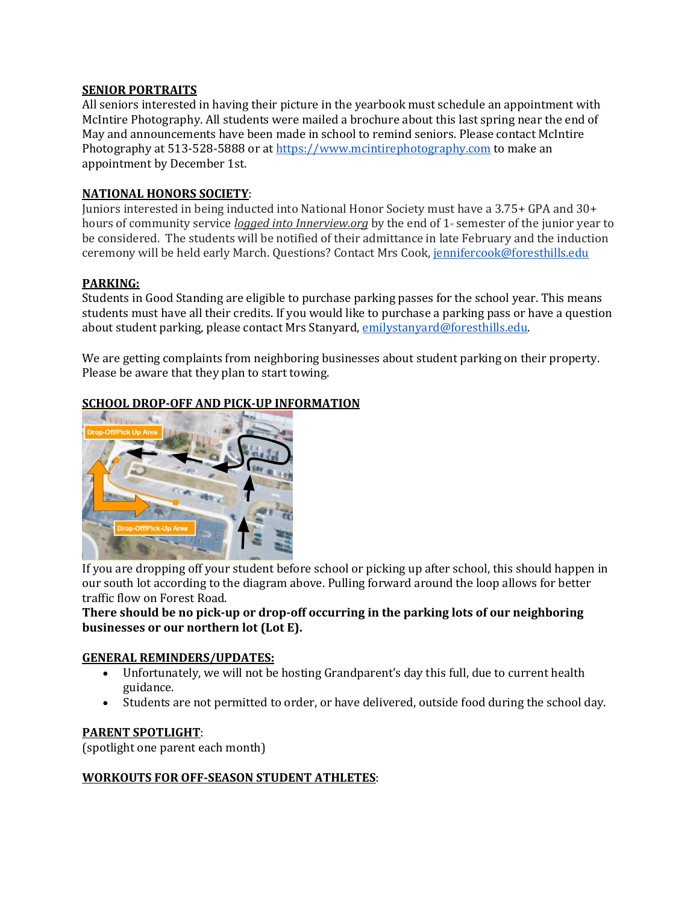### **SENIOR PORTRAITS**

All seniors interested in having their picture in the yearbook must schedule an appointment with McIntire Photography. All students were mailed a brochure about this last spring near the end of May and announcements have been made in school to remind seniors. Please contact McIntire Photography at 513-528-5888 or a[t https://www.mcintirephotography.com](https://www.mcintirephotography.com/) to make an appointment by December 1st.

### **NATIONAL HONORS SOCIETY**:

Juniors interested in being inducted into National Honor Society must have a 3.75+ GPA and 30+ hours of community service *logged into Innerview.org* by the end of 1<sup>*\**</sup> semester of the junior year to be considered. The students will be notified of their admittance in late February and the induction ceremony will be held early March. Questions? Contact Mrs Cook, [jennifercook@foresthills.edu](mailto:jennifercook@foresthills.edu)

### **PARKING:**

Students in Good Standing are eligible to purchase parking passes for the school year. This means students must have all their credits. If you would like to purchase a parking pass or have a question about student parking, please contact Mrs Stanyard[, emilystanyard@foresthills.edu.](mailto:emilystanyard@foresthills.edu)

We are getting complaints from neighboring businesses about student parking on their property. Please be aware that they plan to start towing.

## **SCHOOL DROP-OFF AND PICK-UP INFORMATION**



If you are dropping off your student before school or picking up after school, this should happen in our south lot according to the diagram above. Pulling forward around the loop allows for better traffic flow on Forest Road.

## **There should be no pick-up or drop-off occurring in the parking lots of our neighboring businesses or our northern lot (Lot E).**

#### **GENERAL REMINDERS/UPDATES:**

- Unfortunately, we will not be hosting Grandparent's day this full, due to current health guidance.
- Students are not permitted to order, or have delivered, outside food during the school day.

#### **PARENT SPOTLIGHT**:

(spotlight one parent each month)

## **WORKOUTS FOR OFF-SEASON STUDENT ATHLETES**: